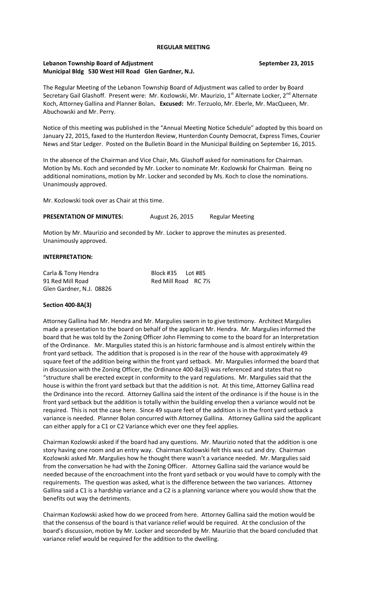#### **REGULAR MEETING**

### **Lebanon Township Board of Adjustment September 23, 2015 Municipal Bldg 530 West Hill Road Glen Gardner, N.J.**

The Regular Meeting of the Lebanon Township Board of Adjustment was called to order by Board Secretary Gail Glashoff. Present were: Mr. Kozlowski, Mr. Maurizio, 1<sup>st</sup> Alternate Locker, 2<sup>nd</sup> Alternate Koch, Attorney Gallina and Planner Bolan**. Excused:** Mr. Terzuolo, Mr. Eberle, Mr. MacQueen, Mr. Abuchowski and Mr. Perry.

Notice of this meeting was published in the "Annual Meeting Notice Schedule" adopted by this board on January 22, 2015, faxed to the Hunterdon Review, Hunterdon County Democrat, Express Times, Courier News and Star Ledger. Posted on the Bulletin Board in the Municipal Building on September 16, 2015.

In the absence of the Chairman and Vice Chair, Ms. Glashoff asked for nominations for Chairman. Motion by Ms. Koch and seconded by Mr. Locker to nominate Mr. Kozlowski for Chairman. Being no additional nominations, motion by Mr. Locker and seconded by Ms. Koch to close the nominations. Unanimously approved.

Mr. Kozlowski took over as Chair at this time.

PRESENTATION OF MINUTES: August 26, 2015 Regular Meeting

Motion by Mr. Maurizio and seconded by Mr. Locker to approve the minutes as presented. Unanimously approved.

#### **INTERPRETATION:**

Carla & Tony Hendra Block #35 Lot #85 Red Mill Road RC 71/2 Glen Gardner, N.J. 08826

#### **Section 400-8A(3)**

Attorney Gallina had Mr. Hendra and Mr. Margulies sworn in to give testimony. Architect Margulies made a presentation to the board on behalf of the applicant Mr. Hendra. Mr. Margulies informed the board that he was told by the Zoning Officer John Flemming to come to the board for an Interpretation of the Ordinance. Mr. Margulies stated this is an historic farmhouse and is almost entirely within the front yard setback. The addition that is proposed is in the rear of the house with approximately 49 square feet of the addition being within the front yard setback. Mr. Margulies informed the board that in discussion with the Zoning Officer, the Ordinance 400-8a(3) was referenced and states that no "structure shall be erected except in conformity to the yard regulations. Mr. Margulies said that the house is within the front yard setback but that the addition is not. At this time, Attorney Gallina read the Ordinance into the record. Attorney Gallina said the intent of the ordinance is if the house is in the front yard setback but the addition is totally within the building envelop then a variance would not be required. This is not the case here. Since 49 square feet of the addition is in the front yard setback a variance is needed. Planner Bolan concurred with Attorney Gallina. Attorney Gallina said the applicant can either apply for a C1 or C2 Variance which ever one they feel applies.

Chairman Kozlowski asked if the board had any questions. Mr. Maurizio noted that the addition is one story having one room and an entry way. Chairman Kozlowski felt this was cut and dry. Chairman Kozlowski asked Mr. Margulies how he thought there wasn't a variance needed. Mr. Margulies said from the conversation he had with the Zoning Officer. Attorney Gallina said the variance would be needed because of the encroachment into the front yard setback or you would have to comply with the requirements. The question was asked, what is the difference between the two variances. Attorney Gallina said a C1 is a hardship variance and a C2 is a planning variance where you would show that the benefits out way the detriments.

Chairman Kozlowski asked how do we proceed from here. Attorney Gallina said the motion would be that the consensus of the board is that variance relief would be required. At the conclusion of the board's discussion, motion by Mr. Locker and seconded by Mr. Maurizio that the board concluded that variance relief would be required for the addition to the dwelling.